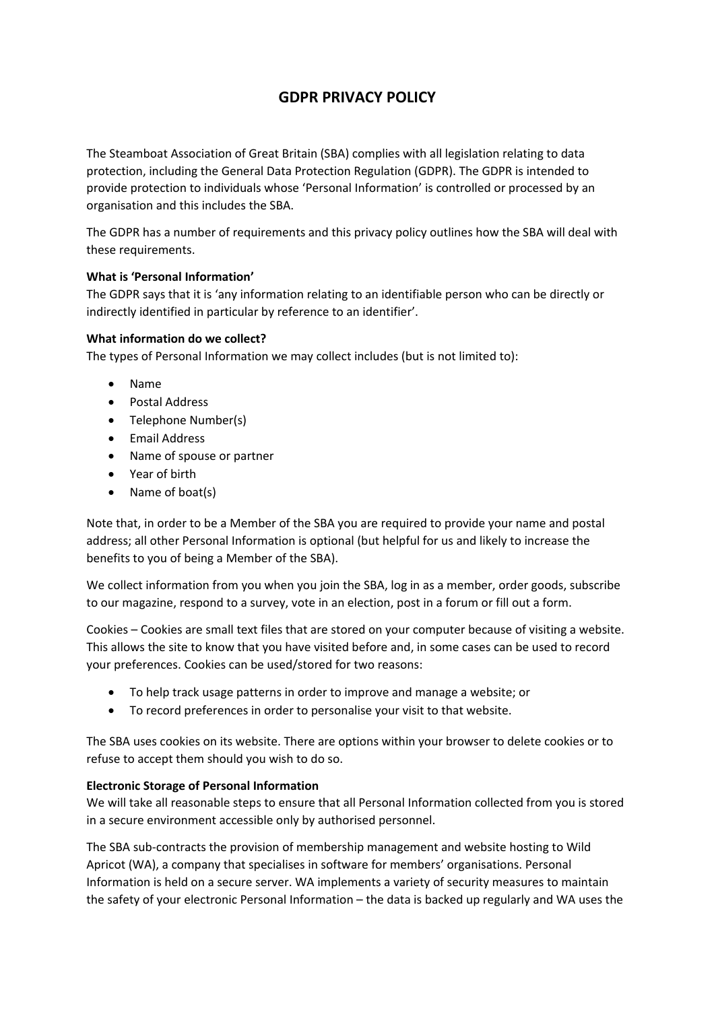# **GDPR PRIVACY POLICY**

The Steamboat Association of Great Britain (SBA) complies with all legislation relating to data protection, including the General Data Protection Regulation (GDPR). The GDPR is intended to provide protection to individuals whose 'Personal Information' is controlled or processed by an organisation and this includes the SBA.

The GDPR has a number of requirements and this privacy policy outlines how the SBA will deal with these requirements.

# **What is 'Personal Information'**

The GDPR says that it is 'any information relating to an identifiable person who can be directly or indirectly identified in particular by reference to an identifier'.

# **What information do we collect?**

The types of Personal Information we may collect includes (but is not limited to):

- Name
- Postal Address
- Telephone Number(s)
- **•** Email Address
- Name of spouse or partner
- Year of birth
- Name of boat(s)

Note that, in order to be a Member of the SBA you are required to provide your name and postal address; all other Personal Information is optional (but helpful for us and likely to increase the benefits to you of being a Member of the SBA).

We collect information from you when you join the SBA, log in as a member, order goods, subscribe to our magazine, respond to a survey, vote in an election, post in a forum or fill out a form.

Cookies – Cookies are small text files that are stored on your computer because of visiting a website. This allows the site to know that you have visited before and, in some cases can be used to record your preferences. Cookies can be used/stored for two reasons:

- To help track usage patterns in order to improve and manage a website; or
- To record preferences in order to personalise your visit to that website.

The SBA uses cookies on its website. There are options within your browser to delete cookies or to refuse to accept them should you wish to do so.

#### **Electronic Storage of Personal Information**

We will take all reasonable steps to ensure that all Personal Information collected from you is stored in a secure environment accessible only by authorised personnel.

The SBA sub-contracts the provision of membership management and website hosting to Wild Apricot (WA), a company that specialises in software for members' organisations. Personal Information is held on a secure server. WA implements a variety of security measures to maintain the safety of your electronic Personal Information – the data is backed up regularly and WA uses the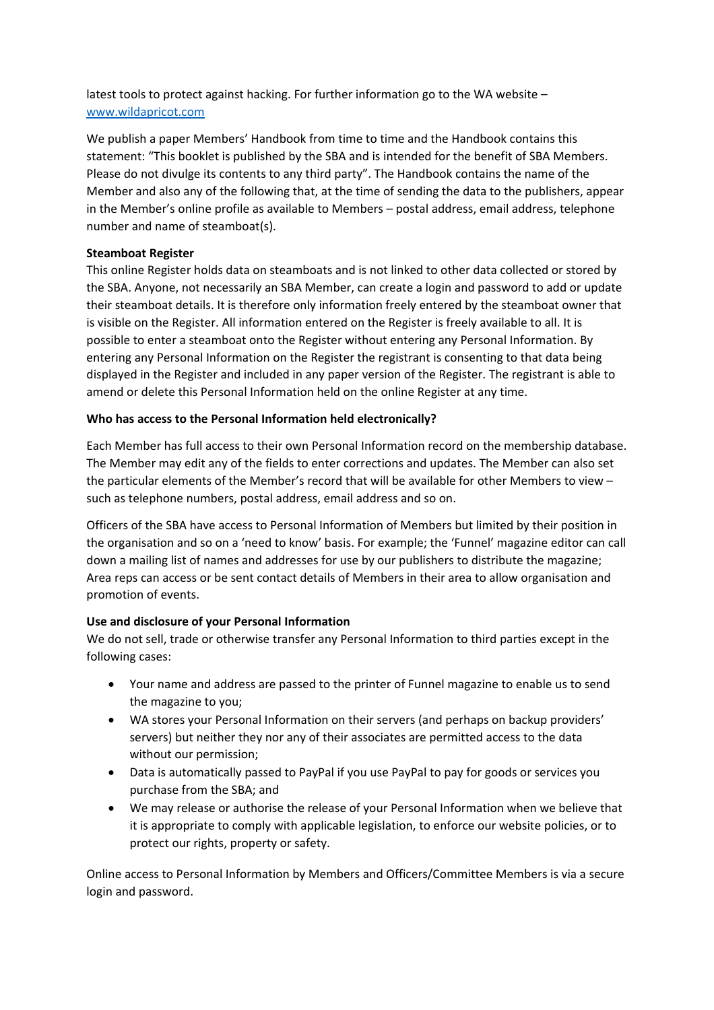latest tools to protect against hacking. For further information go to the WA website – [www.wildapricot.com](http://www.wildapricot.com/)

We publish a paper Members' Handbook from time to time and the Handbook contains this statement: "This booklet is published by the SBA and is intended for the benefit of SBA Members. Please do not divulge its contents to any third party". The Handbook contains the name of the Member and also any of the following that, at the time of sending the data to the publishers, appear in the Member's online profile as available to Members – postal address, email address, telephone number and name of steamboat(s).

# **Steamboat Register**

This online Register holds data on steamboats and is not linked to other data collected or stored by the SBA. Anyone, not necessarily an SBA Member, can create a login and password to add or update their steamboat details. It is therefore only information freely entered by the steamboat owner that is visible on the Register. All information entered on the Register is freely available to all. It is possible to enter a steamboat onto the Register without entering any Personal Information. By entering any Personal Information on the Register the registrant is consenting to that data being displayed in the Register and included in any paper version of the Register. The registrant is able to amend or delete this Personal Information held on the online Register at any time.

# **Who has access to the Personal Information held electronically?**

Each Member has full access to their own Personal Information record on the membership database. The Member may edit any of the fields to enter corrections and updates. The Member can also set the particular elements of the Member's record that will be available for other Members to view – such as telephone numbers, postal address, email address and so on.

Officers of the SBA have access to Personal Information of Members but limited by their position in the organisation and so on a 'need to know' basis. For example; the 'Funnel' magazine editor can call down a mailing list of names and addresses for use by our publishers to distribute the magazine; Area reps can access or be sent contact details of Members in their area to allow organisation and promotion of events.

# **Use and disclosure of your Personal Information**

We do not sell, trade or otherwise transfer any Personal Information to third parties except in the following cases:

- Your name and address are passed to the printer of Funnel magazine to enable us to send the magazine to you;
- WA stores your Personal Information on their servers (and perhaps on backup providers' servers) but neither they nor any of their associates are permitted access to the data without our permission;
- Data is automatically passed to PayPal if you use PayPal to pay for goods or services you purchase from the SBA; and
- We may release or authorise the release of your Personal Information when we believe that it is appropriate to comply with applicable legislation, to enforce our website policies, or to protect our rights, property or safety.

Online access to Personal Information by Members and Officers/Committee Members is via a secure login and password.